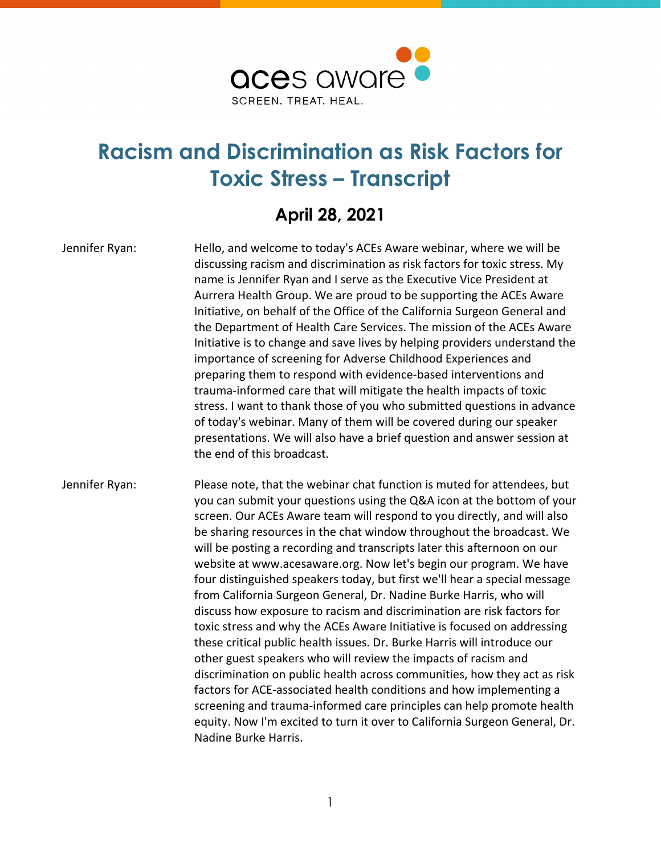

## **Racism and Discrimination as Risk Factors for Toxic Stress – Transcript**

## **April 28, 2021**

Jennifer Ryan: Hello, and welcome to today's ACEs Aware webinar, where we will be discussing racism and discrimination as risk factors for toxic stress. My name is Jennifer Ryan and I serve as the Executive Vice President at Aurrera Health Group. We are proud to be supporting the ACEs Aware Initiative, on behalf of the Office of the California Surgeon General and the Department of Health Care Services. The mission of the ACEs Aware Initiative is to change and save lives by helping providers understand the importance of screening for Adverse Childhood Experiences and preparing them to respond with evidence-based interventions and trauma-informed care that will mitigate the health impacts of toxic stress. I want to thank those of you who submitted questions in advance of today's webinar. Many of them will be covered during our speaker presentations. We will also have a brief question and answer session at the end of this broadcast.

Jennifer Ryan: Please note, that the webinar chat function is muted for attendees, but you can submit your questions using the Q&A icon at the bottom of your screen. Our ACEs Aware team will respond to you directly, and will also be sharing resources in the chat window throughout the broadcast. We will be posting a recording and transcripts later this afternoon on our website at www.acesaware.org. Now let's begin our program. We have four distinguished speakers today, but first we'll hear a special message from California Surgeon General, Dr. Nadine Burke Harris, who will discuss how exposure to racism and discrimination are risk factors for toxic stress and why the ACEs Aware Initiative is focused on addressing these critical public health issues. Dr. Burke Harris will introduce our other guest speakers who will review the impacts of racism and discrimination on public health across communities, how they act as risk factors for ACE-associated health conditions and how implementing a screening and trauma-informed care principles can help promote health equity. Now I'm excited to turn it over to California Surgeon General, Dr. Nadine Burke Harris.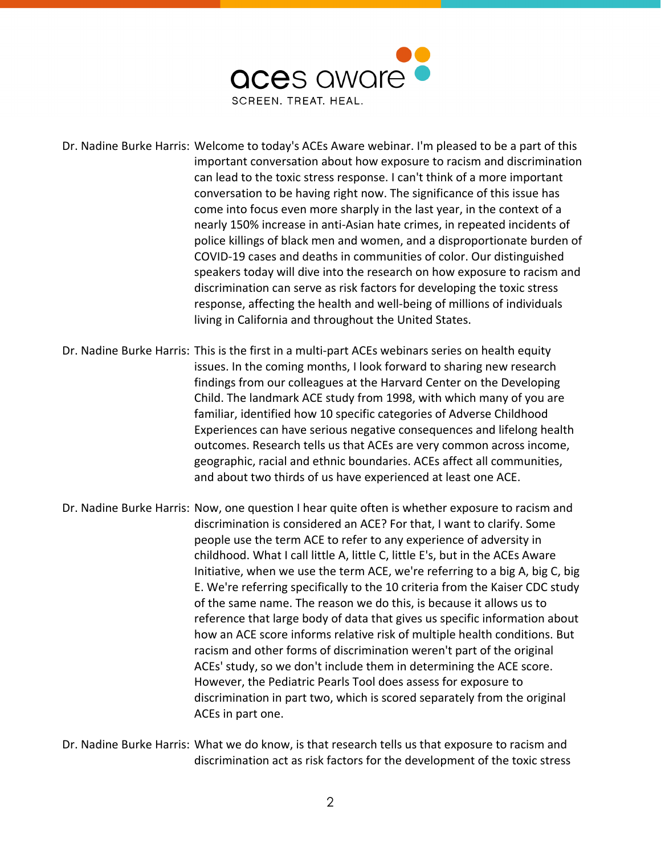

Dr. Nadine Burke Harris: Welcome to today's ACEs Aware webinar. I'm pleased to be a part of this important conversation about how exposure to racism and discrimination can lead to the toxic stress response. I can't think of a more important conversation to be having right now. The significance of this issue has come into focus even more sharply in the last year, in the context of a nearly 150% increase in anti-Asian hate crimes, in repeated incidents of police killings of black men and women, and a disproportionate burden of COVID-19 cases and deaths in communities of color. Our distinguished speakers today will dive into the research on how exposure to racism and discrimination can serve as risk factors for developing the toxic stress response, affecting the health and well-being of millions of individuals living in California and throughout the United States.

Dr. Nadine Burke Harris: This is the first in a multi-part ACEs webinars series on health equity issues. In the coming months, I look forward to sharing new research findings from our colleagues at the Harvard Center on the Developing Child. The landmark ACE study from 1998, with which many of you are familiar, identified how 10 specific categories of Adverse Childhood Experiences can have serious negative consequences and lifelong health outcomes. Research tells us that ACEs are very common across income, geographic, racial and ethnic boundaries. ACEs affect all communities, and about two thirds of us have experienced at least one ACE.

Dr. Nadine Burke Harris: Now, one question I hear quite often is whether exposure to racism and discrimination is considered an ACE? For that, I want to clarify. Some people use the term ACE to refer to any experience of adversity in childhood. What I call little A, little C, little E's, but in the ACEs Aware Initiative, when we use the term ACE, we're referring to a big A, big C, big E. We're referring specifically to the 10 criteria from the Kaiser CDC study of the same name. The reason we do this, is because it allows us to reference that large body of data that gives us specific information about how an ACE score informs relative risk of multiple health conditions. But racism and other forms of discrimination weren't part of the original ACEs' study, so we don't include them in determining the ACE score. However, the Pediatric Pearls Tool does assess for exposure to discrimination in part two, which is scored separately from the original ACEs in part one.

Dr. Nadine Burke Harris: What we do know, is that research tells us that exposure to racism and discrimination act as risk factors for the development of the toxic stress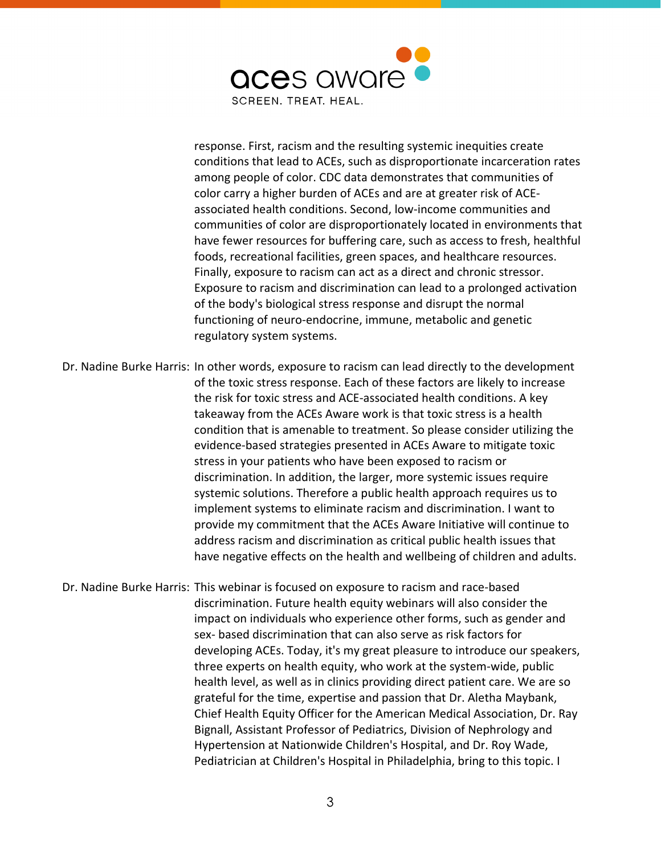

response. First, racism and the resulting systemic inequities create conditions that lead to ACEs, such as disproportionate incarceration rates among people of color. CDC data demonstrates that communities of color carry a higher burden of ACEs and are at greater risk of ACEassociated health conditions. Second, low-income communities and communities of color are disproportionately located in environments that have fewer resources for buffering care, such as access to fresh, healthful foods, recreational facilities, green spaces, and healthcare resources. Finally, exposure to racism can act as a direct and chronic stressor. Exposure to racism and discrimination can lead to a prolonged activation of the body's biological stress response and disrupt the normal functioning of neuro-endocrine, immune, metabolic and genetic regulatory system systems.

Dr. Nadine Burke Harris: In other words, exposure to racism can lead directly to the development of the toxic stress response. Each of these factors are likely to increase the risk for toxic stress and ACE-associated health conditions. A key takeaway from the ACEs Aware work is that toxic stress is a health condition that is amenable to treatment. So please consider utilizing the evidence-based strategies presented in ACEs Aware to mitigate toxic stress in your patients who have been exposed to racism or discrimination. In addition, the larger, more systemic issues require systemic solutions. Therefore a public health approach requires us to implement systems to eliminate racism and discrimination. I want to provide my commitment that the ACEs Aware Initiative will continue to address racism and discrimination as critical public health issues that have negative effects on the health and wellbeing of children and adults.

Dr. Nadine Burke Harris: This webinar is focused on exposure to racism and race-based discrimination. Future health equity webinars will also consider the impact on individuals who experience other forms, such as gender and sex- based discrimination that can also serve as risk factors for developing ACEs. Today, it's my great pleasure to introduce our speakers, three experts on health equity, who work at the system-wide, public health level, as well as in clinics providing direct patient care. We are so grateful for the time, expertise and passion that Dr. Aletha Maybank, Chief Health Equity Officer for the American Medical Association, Dr. Ray Bignall, Assistant Professor of Pediatrics, Division of Nephrology and Hypertension at Nationwide Children's Hospital, and Dr. Roy Wade, Pediatrician at Children's Hospital in Philadelphia, bring to this topic. I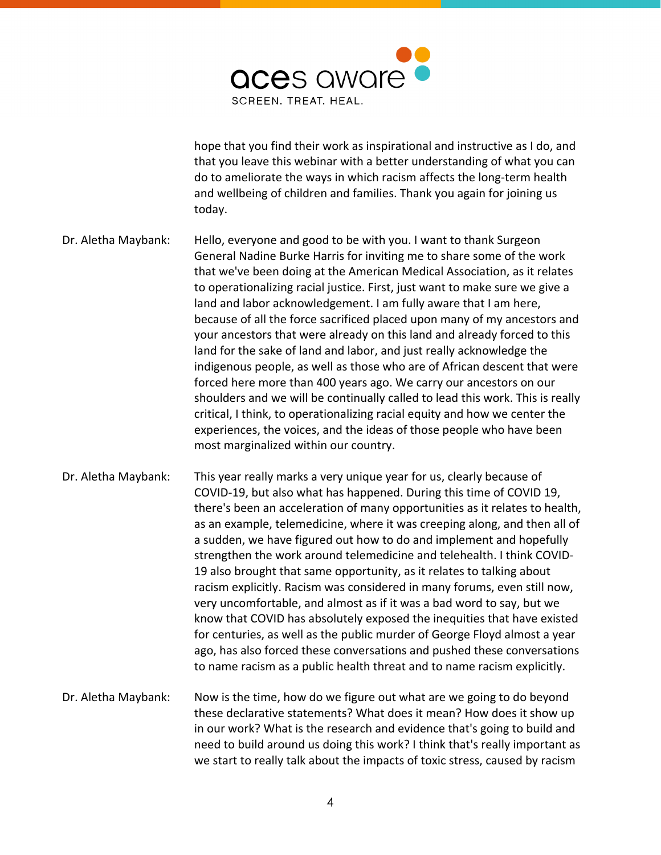

hope that you find their work as inspirational and instructive as I do, and that you leave this webinar with a better understanding of what you can do to ameliorate the ways in which racism affects the long-term health and wellbeing of children and families. Thank you again for joining us today.

- Dr. Aletha Maybank: Hello, everyone and good to be with you. I want to thank Surgeon General Nadine Burke Harris for inviting me to share some of the work that we've been doing at the American Medical Association, as it relates to operationalizing racial justice. First, just want to make sure we give a land and labor acknowledgement. I am fully aware that I am here, because of all the force sacrificed placed upon many of my ancestors and your ancestors that were already on this land and already forced to this land for the sake of land and labor, and just really acknowledge the indigenous people, as well as those who are of African descent that were forced here more than 400 years ago. We carry our ancestors on our shoulders and we will be continually called to lead this work. This is really critical, I think, to operationalizing racial equity and how we center the experiences, the voices, and the ideas of those people who have been most marginalized within our country.
- Dr. Aletha Maybank: This year really marks a very unique year for us, clearly because of COVID-19, but also what has happened. During this time of COVID 19, there's been an acceleration of many opportunities as it relates to health, as an example, telemedicine, where it was creeping along, and then all of a sudden, we have figured out how to do and implement and hopefully strengthen the work around telemedicine and telehealth. I think COVID-19 also brought that same opportunity, as it relates to talking about racism explicitly. Racism was considered in many forums, even still now, very uncomfortable, and almost as if it was a bad word to say, but we know that COVID has absolutely exposed the inequities that have existed for centuries, as well as the public murder of George Floyd almost a year ago, has also forced these conversations and pushed these conversations to name racism as a public health threat and to name racism explicitly.
- Dr. Aletha Maybank: Now is the time, how do we figure out what are we going to do beyond these declarative statements? What does it mean? How does it show up in our work? What is the research and evidence that's going to build and need to build around us doing this work? I think that's really important as we start to really talk about the impacts of toxic stress, caused by racism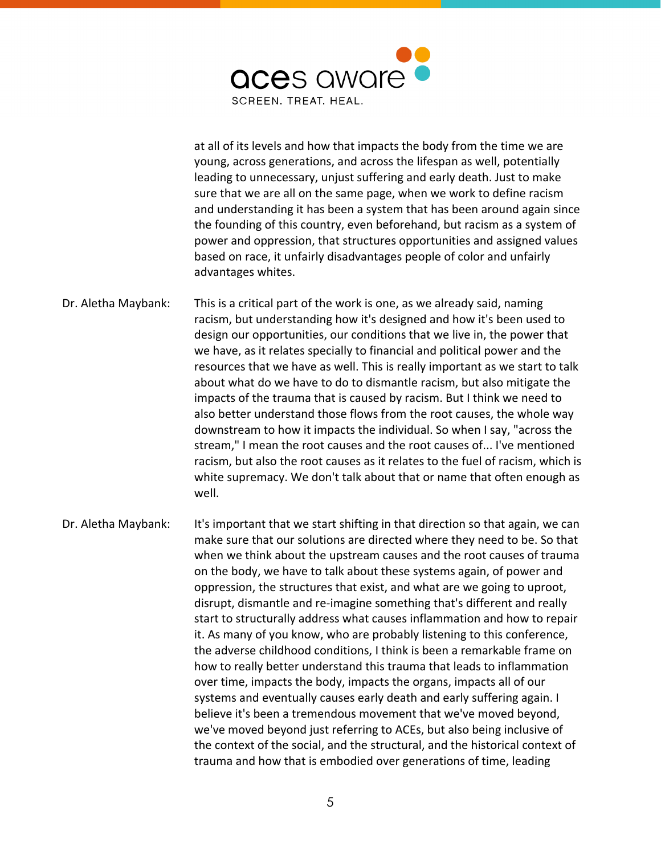

at all of its levels and how that impacts the body from the time we are young, across generations, and across the lifespan as well, potentially leading to unnecessary, unjust suffering and early death. Just to make sure that we are all on the same page, when we work to define racism and understanding it has been a system that has been around again since the founding of this country, even beforehand, but racism as a system of power and oppression, that structures opportunities and assigned values based on race, it unfairly disadvantages people of color and unfairly advantages whites.

Dr. Aletha Maybank: This is a critical part of the work is one, as we already said, naming racism, but understanding how it's designed and how it's been used to design our opportunities, our conditions that we live in, the power that we have, as it relates specially to financial and political power and the resources that we have as well. This is really important as we start to talk about what do we have to do to dismantle racism, but also mitigate the impacts of the trauma that is caused by racism. But I think we need to also better understand those flows from the root causes, the whole way downstream to how it impacts the individual. So when I say, "across the stream," I mean the root causes and the root causes of... I've mentioned racism, but also the root causes as it relates to the fuel of racism, which is white supremacy. We don't talk about that or name that often enough as well.

Dr. Aletha Maybank: It's important that we start shifting in that direction so that again, we can make sure that our solutions are directed where they need to be. So that when we think about the upstream causes and the root causes of trauma on the body, we have to talk about these systems again, of power and oppression, the structures that exist, and what are we going to uproot, disrupt, dismantle and re-imagine something that's different and really start to structurally address what causes inflammation and how to repair it. As many of you know, who are probably listening to this conference, the adverse childhood conditions, I think is been a remarkable frame on how to really better understand this trauma that leads to inflammation over time, impacts the body, impacts the organs, impacts all of our systems and eventually causes early death and early suffering again. I believe it's been a tremendous movement that we've moved beyond, we've moved beyond just referring to ACEs, but also being inclusive of the context of the social, and the structural, and the historical context of trauma and how that is embodied over generations of time, leading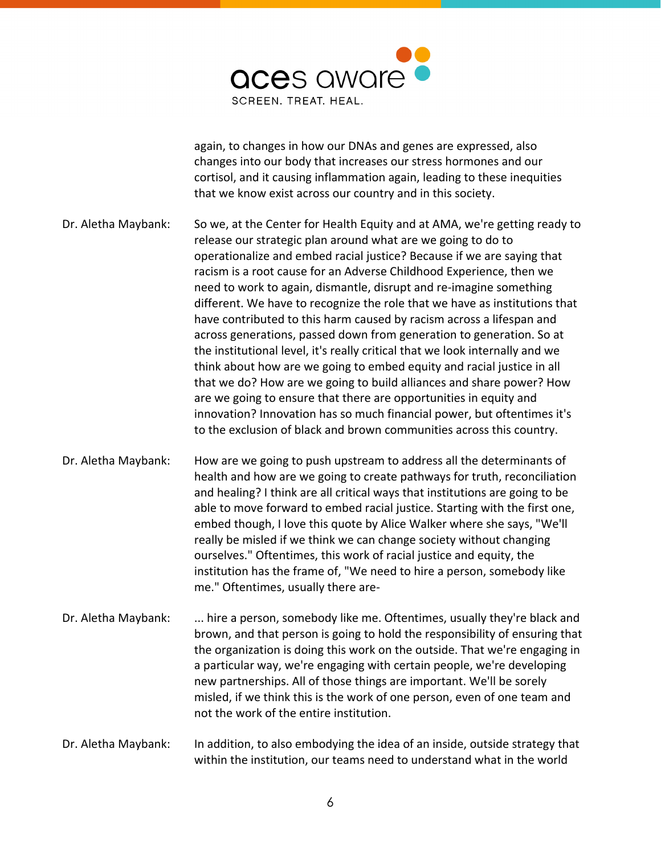

again, to changes in how our DNAs and genes are expressed, also changes into our body that increases our stress hormones and our cortisol, and it causing inflammation again, leading to these inequities that we know exist across our country and in this society.

Dr. Aletha Maybank: So we, at the Center for Health Equity and at AMA, we're getting ready to release our strategic plan around what are we going to do to operationalize and embed racial justice? Because if we are saying that racism is a root cause for an Adverse Childhood Experience, then we need to work to again, dismantle, disrupt and re-imagine something different. We have to recognize the role that we have as institutions that have contributed to this harm caused by racism across a lifespan and across generations, passed down from generation to generation. So at the institutional level, it's really critical that we look internally and we think about how are we going to embed equity and racial justice in all that we do? How are we going to build alliances and share power? How are we going to ensure that there are opportunities in equity and innovation? Innovation has so much financial power, but oftentimes it's to the exclusion of black and brown communities across this country.

Dr. Aletha Maybank: How are we going to push upstream to address all the determinants of health and how are we going to create pathways for truth, reconciliation and healing? I think are all critical ways that institutions are going to be able to move forward to embed racial justice. Starting with the first one, embed though, I love this quote by Alice Walker where she says, "We'll really be misled if we think we can change society without changing ourselves." Oftentimes, this work of racial justice and equity, the institution has the frame of, "We need to hire a person, somebody like me." Oftentimes, usually there are-

Dr. Aletha Maybank: ... hire a person, somebody like me. Oftentimes, usually they're black and brown, and that person is going to hold the responsibility of ensuring that the organization is doing this work on the outside. That we're engaging in a particular way, we're engaging with certain people, we're developing new partnerships. All of those things are important. We'll be sorely misled, if we think this is the work of one person, even of one team and not the work of the entire institution.

Dr. Aletha Maybank: In addition, to also embodying the idea of an inside, outside strategy that within the institution, our teams need to understand what in the world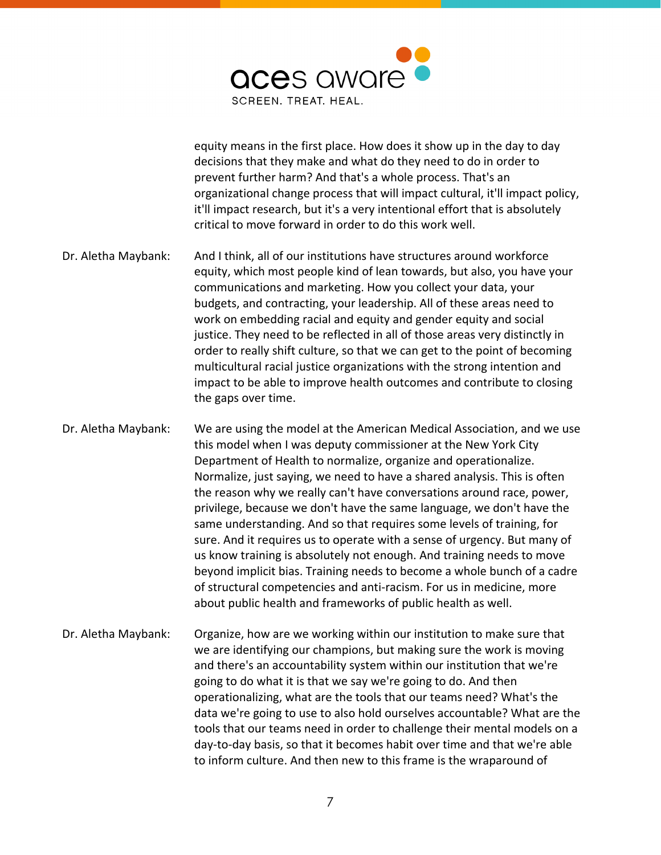

equity means in the first place. How does it show up in the day to day decisions that they make and what do they need to do in order to prevent further harm? And that's a whole process. That's an organizational change process that will impact cultural, it'll impact policy, it'll impact research, but it's a very intentional effort that is absolutely critical to move forward in order to do this work well.

Dr. Aletha Maybank: And I think, all of our institutions have structures around workforce equity, which most people kind of lean towards, but also, you have your communications and marketing. How you collect your data, your budgets, and contracting, your leadership. All of these areas need to work on embedding racial and equity and gender equity and social justice. They need to be reflected in all of those areas very distinctly in order to really shift culture, so that we can get to the point of becoming multicultural racial justice organizations with the strong intention and impact to be able to improve health outcomes and contribute to closing the gaps over time.

Dr. Aletha Maybank: We are using the model at the American Medical Association, and we use this model when I was deputy commissioner at the New York City Department of Health to normalize, organize and operationalize. Normalize, just saying, we need to have a shared analysis. This is often the reason why we really can't have conversations around race, power, privilege, because we don't have the same language, we don't have the same understanding. And so that requires some levels of training, for sure. And it requires us to operate with a sense of urgency. But many of us know training is absolutely not enough. And training needs to move beyond implicit bias. Training needs to become a whole bunch of a cadre of structural competencies and anti-racism. For us in medicine, more about public health and frameworks of public health as well.

Dr. Aletha Maybank: Organize, how are we working within our institution to make sure that we are identifying our champions, but making sure the work is moving and there's an accountability system within our institution that we're going to do what it is that we say we're going to do. And then operationalizing, what are the tools that our teams need? What's the data we're going to use to also hold ourselves accountable? What are the tools that our teams need in order to challenge their mental models on a day-to-day basis, so that it becomes habit over time and that we're able to inform culture. And then new to this frame is the wraparound of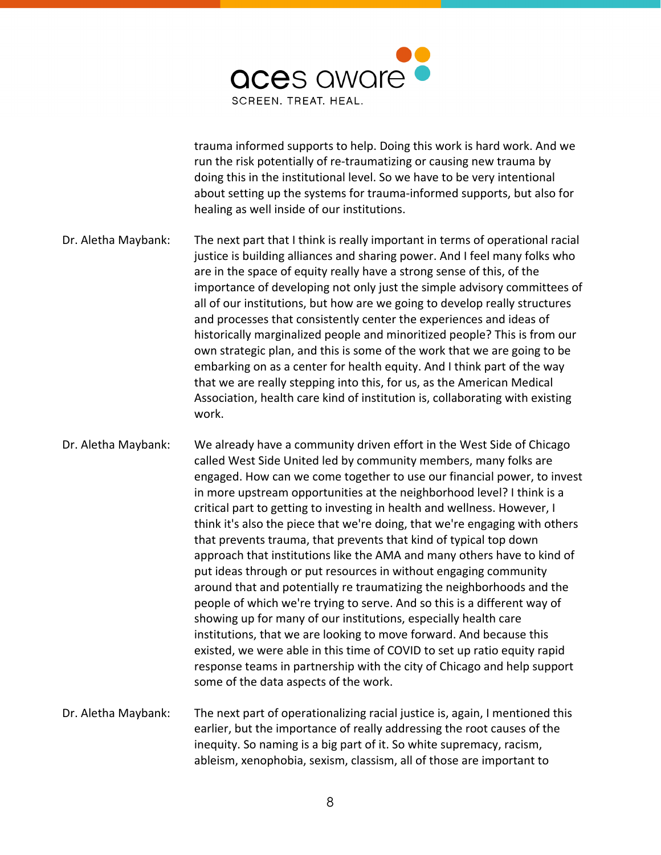

trauma informed supports to help. Doing this work is hard work. And we run the risk potentially of re-traumatizing or causing new trauma by doing this in the institutional level. So we have to be very intentional about setting up the systems for trauma-informed supports, but also for healing as well inside of our institutions.

Dr. Aletha Maybank: The next part that I think is really important in terms of operational racial justice is building alliances and sharing power. And I feel many folks who are in the space of equity really have a strong sense of this, of the importance of developing not only just the simple advisory committees of all of our institutions, but how are we going to develop really structures and processes that consistently center the experiences and ideas of historically marginalized people and minoritized people? This is from our own strategic plan, and this is some of the work that we are going to be embarking on as a center for health equity. And I think part of the way that we are really stepping into this, for us, as the American Medical Association, health care kind of institution is, collaborating with existing work.

Dr. Aletha Maybank: We already have a community driven effort in the West Side of Chicago called West Side United led by community members, many folks are engaged. How can we come together to use our financial power, to invest in more upstream opportunities at the neighborhood level? I think is a critical part to getting to investing in health and wellness. However, I think it's also the piece that we're doing, that we're engaging with others that prevents trauma, that prevents that kind of typical top down approach that institutions like the AMA and many others have to kind of put ideas through or put resources in without engaging community around that and potentially re traumatizing the neighborhoods and the people of which we're trying to serve. And so this is a different way of showing up for many of our institutions, especially health care institutions, that we are looking to move forward. And because this existed, we were able in this time of COVID to set up ratio equity rapid response teams in partnership with the city of Chicago and help support some of the data aspects of the work.

Dr. Aletha Maybank: The next part of operationalizing racial justice is, again, I mentioned this earlier, but the importance of really addressing the root causes of the inequity. So naming is a big part of it. So white supremacy, racism, ableism, xenophobia, sexism, classism, all of those are important to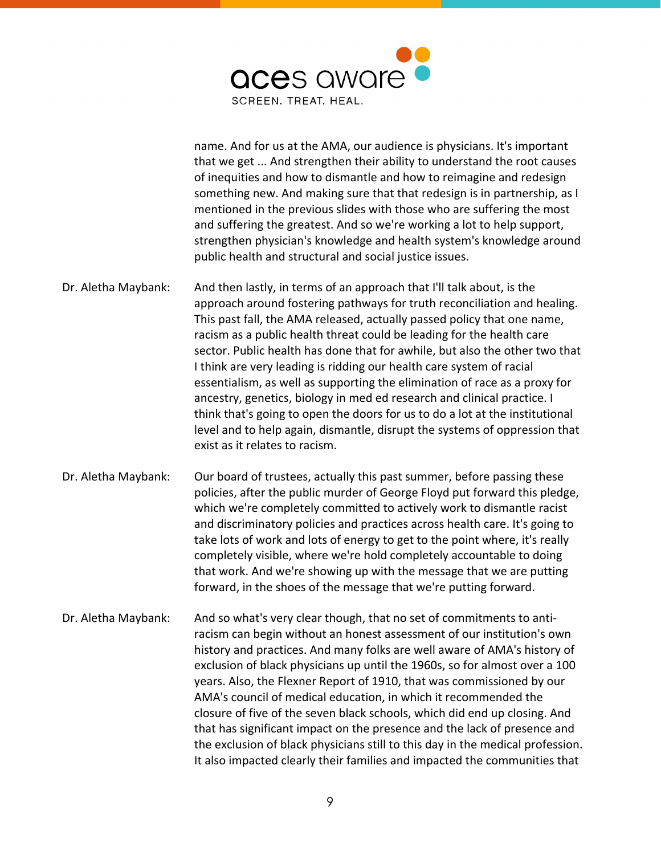

name. And for us at the AMA, our audience is physicians. It's important that we get ... And strengthen their ability to understand the root causes of inequities and how to dismantle and how to reimagine and redesign something new. And making sure that that redesign is in partnership, as I mentioned in the previous slides with those who are suffering the most and suffering the greatest. And so we're working a lot to help support, strengthen physician's knowledge and health system's knowledge around public health and structural and social justice issues.

- Dr. Aletha Maybank: And then lastly, in terms of an approach that I'll talk about, is the approach around fostering pathways for truth reconciliation and healing. This past fall, the AMA released, actually passed policy that one name, racism as a public health threat could be leading for the health care sector. Public health has done that for awhile, but also the other two that I think are very leading is ridding our health care system of racial essentialism, as well as supporting the elimination of race as a proxy for ancestry, genetics, biology in med ed research and clinical practice. I think that's going to open the doors for us to do a lot at the institutional level and to help again, dismantle, disrupt the systems of oppression that exist as it relates to racism.
- Dr. Aletha Maybank: Our board of trustees, actually this past summer, before passing these policies, after the public murder of George Floyd put forward this pledge, which we're completely committed to actively work to dismantle racist and discriminatory policies and practices across health care. It's going to take lots of work and lots of energy to get to the point where, it's really completely visible, where we're hold completely accountable to doing that work. And we're showing up with the message that we are putting forward, in the shoes of the message that we're putting forward.
- Dr. Aletha Maybank: And so what's very clear though, that no set of commitments to antiracism can begin without an honest assessment of our institution's own history and practices. And many folks are well aware of AMA's history of exclusion of black physicians up until the 1960s, so for almost over a 100 years. Also, the Flexner Report of 1910, that was commissioned by our AMA's council of medical education, in which it recommended the closure of five of the seven black schools, which did end up closing. And that has significant impact on the presence and the lack of presence and the exclusion of black physicians still to this day in the medical profession. It also impacted clearly their families and impacted the communities that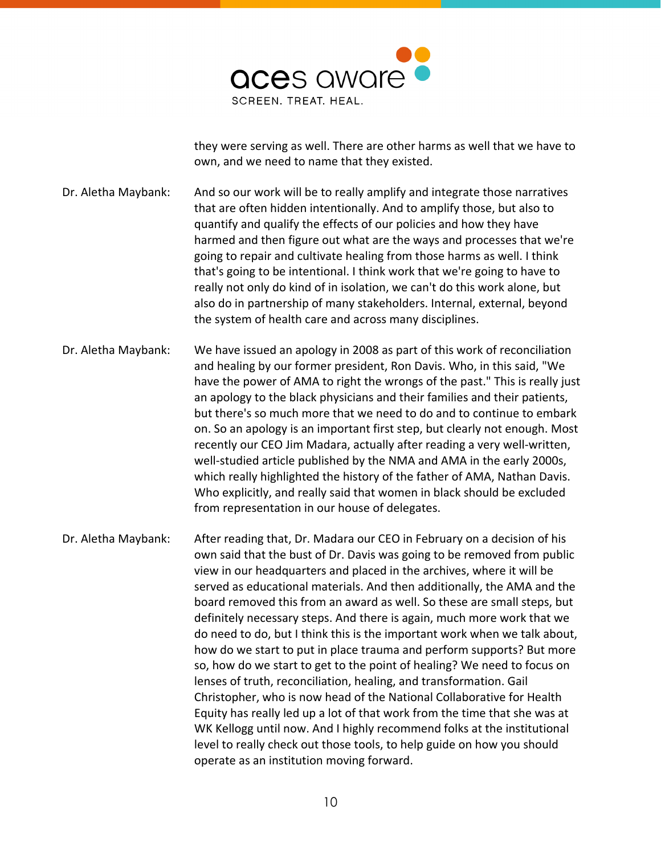

they were serving as well. There are other harms as well that we have to own, and we need to name that they existed.

Dr. Aletha Maybank: And so our work will be to really amplify and integrate those narratives that are often hidden intentionally. And to amplify those, but also to quantify and qualify the effects of our policies and how they have harmed and then figure out what are the ways and processes that we're going to repair and cultivate healing from those harms as well. I think that's going to be intentional. I think work that we're going to have to really not only do kind of in isolation, we can't do this work alone, but also do in partnership of many stakeholders. Internal, external, beyond the system of health care and across many disciplines.

Dr. Aletha Maybank: We have issued an apology in 2008 as part of this work of reconciliation and healing by our former president, Ron Davis. Who, in this said, "We have the power of AMA to right the wrongs of the past." This is really just an apology to the black physicians and their families and their patients, but there's so much more that we need to do and to continue to embark on. So an apology is an important first step, but clearly not enough. Most recently our CEO Jim Madara, actually after reading a very well-written, well-studied article published by the NMA and AMA in the early 2000s, which really highlighted the history of the father of AMA, Nathan Davis. Who explicitly, and really said that women in black should be excluded from representation in our house of delegates.

Dr. Aletha Maybank: After reading that, Dr. Madara our CEO in February on a decision of his own said that the bust of Dr. Davis was going to be removed from public view in our headquarters and placed in the archives, where it will be served as educational materials. And then additionally, the AMA and the board removed this from an award as well. So these are small steps, but definitely necessary steps. And there is again, much more work that we do need to do, but I think this is the important work when we talk about, how do we start to put in place trauma and perform supports? But more so, how do we start to get to the point of healing? We need to focus on lenses of truth, reconciliation, healing, and transformation. Gail Christopher, who is now head of the National Collaborative for Health Equity has really led up a lot of that work from the time that she was at WK Kellogg until now. And I highly recommend folks at the institutional level to really check out those tools, to help guide on how you should operate as an institution moving forward.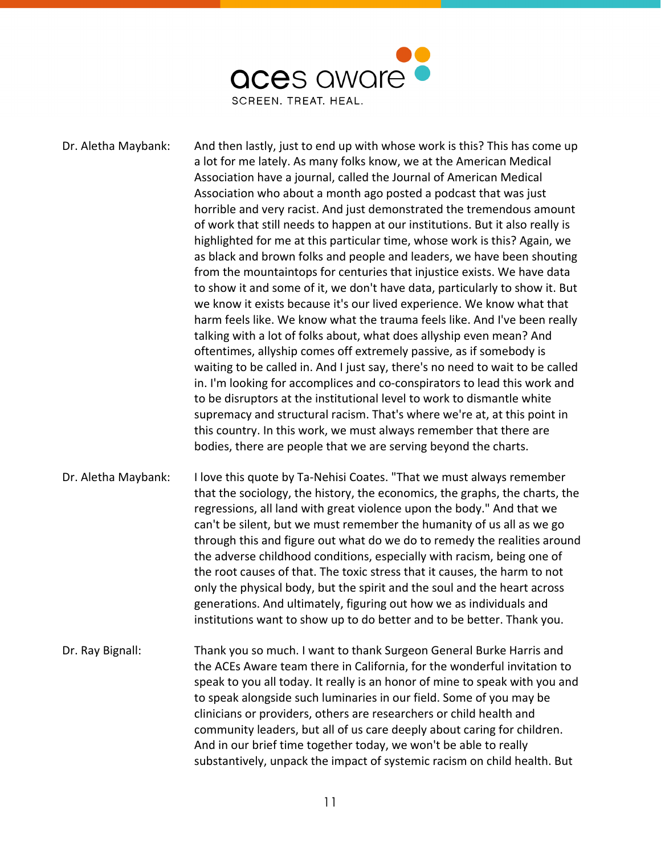

Dr. Aletha Maybank: And then lastly, just to end up with whose work is this? This has come up a lot for me lately. As many folks know, we at the American Medical Association have a journal, called the Journal of American Medical Association who about a month ago posted a podcast that was just horrible and very racist. And just demonstrated the tremendous amount of work that still needs to happen at our institutions. But it also really is highlighted for me at this particular time, whose work is this? Again, we as black and brown folks and people and leaders, we have been shouting from the mountaintops for centuries that injustice exists. We have data to show it and some of it, we don't have data, particularly to show it. But we know it exists because it's our lived experience. We know what that harm feels like. We know what the trauma feels like. And I've been really talking with a lot of folks about, what does allyship even mean? And oftentimes, allyship comes off extremely passive, as if somebody is waiting to be called in. And I just say, there's no need to wait to be called in. I'm looking for accomplices and co-conspirators to lead this work and to be disruptors at the institutional level to work to dismantle white supremacy and structural racism. That's where we're at, at this point in this country. In this work, we must always remember that there are bodies, there are people that we are serving beyond the charts.

Dr. Aletha Maybank: I love this quote by Ta-Nehisi Coates. "That we must always remember that the sociology, the history, the economics, the graphs, the charts, the regressions, all land with great violence upon the body." And that we can't be silent, but we must remember the humanity of us all as we go through this and figure out what do we do to remedy the realities around the adverse childhood conditions, especially with racism, being one of the root causes of that. The toxic stress that it causes, the harm to not only the physical body, but the spirit and the soul and the heart across generations. And ultimately, figuring out how we as individuals and institutions want to show up to do better and to be better. Thank you.

Dr. Ray Bignall: Thank you so much. I want to thank Surgeon General Burke Harris and the ACEs Aware team there in California, for the wonderful invitation to speak to you all today. It really is an honor of mine to speak with you and to speak alongside such luminaries in our field. Some of you may be clinicians or providers, others are researchers or child health and community leaders, but all of us care deeply about caring for children. And in our brief time together today, we won't be able to really substantively, unpack the impact of systemic racism on child health. But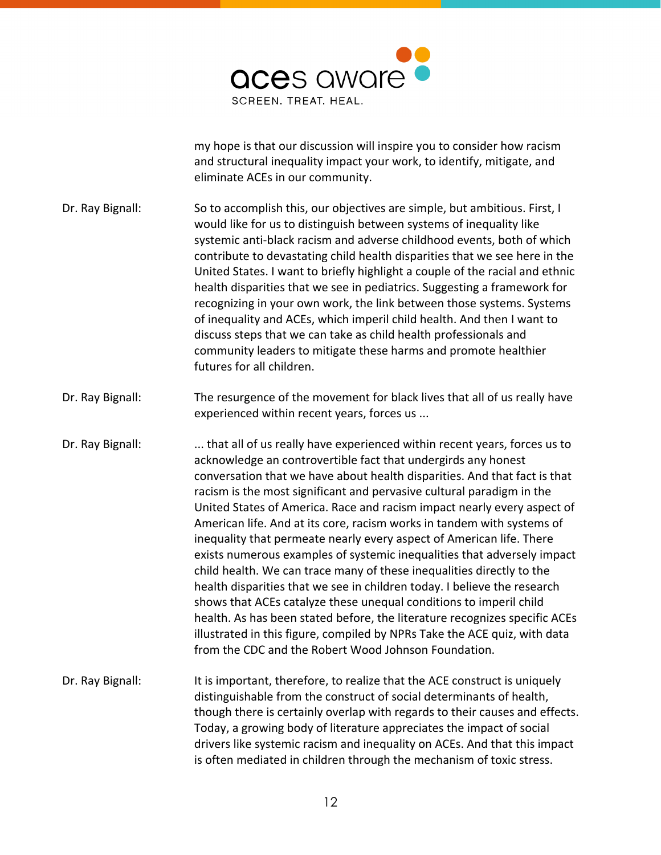

my hope is that our discussion will inspire you to consider how racism and structural inequality impact your work, to identify, mitigate, and eliminate ACEs in our community.

- Dr. Ray Bignall: So to accomplish this, our objectives are simple, but ambitious. First, I would like for us to distinguish between systems of inequality like systemic anti-black racism and adverse childhood events, both of which contribute to devastating child health disparities that we see here in the United States. I want to briefly highlight a couple of the racial and ethnic health disparities that we see in pediatrics. Suggesting a framework for recognizing in your own work, the link between those systems. Systems of inequality and ACEs, which imperil child health. And then I want to discuss steps that we can take as child health professionals and community leaders to mitigate these harms and promote healthier futures for all children.
- Dr. Ray Bignall: The resurgence of the movement for black lives that all of us really have experienced within recent years, forces us ...
- Dr. Ray Bignall: .... that all of us really have experienced within recent years, forces us to acknowledge an controvertible fact that undergirds any honest conversation that we have about health disparities. And that fact is that racism is the most significant and pervasive cultural paradigm in the United States of America. Race and racism impact nearly every aspect of American life. And at its core, racism works in tandem with systems of inequality that permeate nearly every aspect of American life. There exists numerous examples of systemic inequalities that adversely impact child health. We can trace many of these inequalities directly to the health disparities that we see in children today. I believe the research shows that ACEs catalyze these unequal conditions to imperil child health. As has been stated before, the literature recognizes specific ACEs illustrated in this figure, compiled by NPRs Take the ACE quiz, with data from the CDC and the Robert Wood Johnson Foundation.
- Dr. Ray Bignall: It is important, therefore, to realize that the ACE construct is uniquely distinguishable from the construct of social determinants of health, though there is certainly overlap with regards to their causes and effects. Today, a growing body of literature appreciates the impact of social drivers like systemic racism and inequality on ACEs. And that this impact is often mediated in children through the mechanism of toxic stress.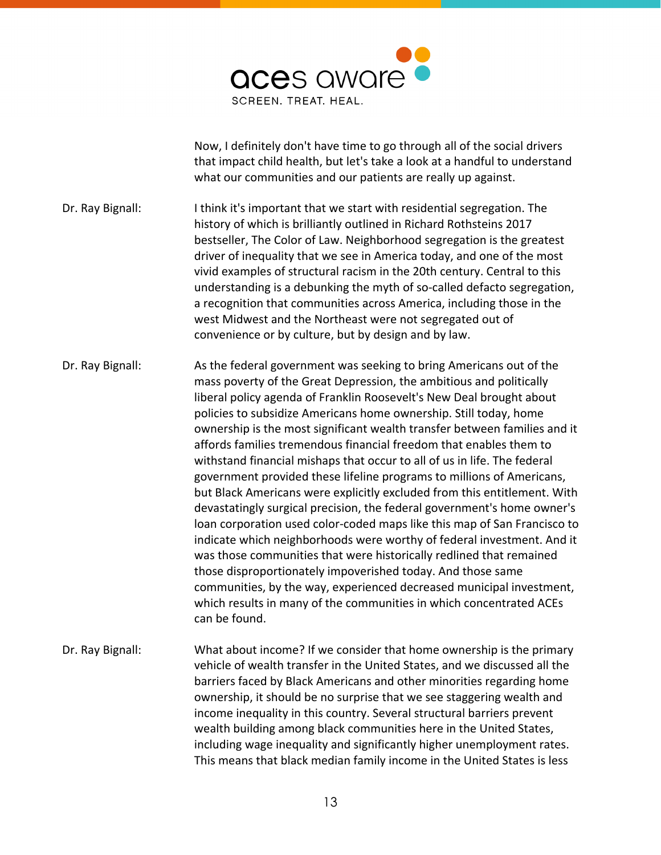

Now, I definitely don't have time to go through all of the social drivers that impact child health, but let's take a look at a handful to understand what our communities and our patients are really up against.

Dr. Ray Bignall: I think it's important that we start with residential segregation. The history of which is brilliantly outlined in Richard Rothsteins 2017 bestseller, The Color of Law. Neighborhood segregation is the greatest driver of inequality that we see in America today, and one of the most vivid examples of structural racism in the 20th century. Central to this understanding is a debunking the myth of so-called defacto segregation, a recognition that communities across America, including those in the west Midwest and the Northeast were not segregated out of convenience or by culture, but by design and by law.

Dr. Ray Bignall: As the federal government was seeking to bring Americans out of the mass poverty of the Great Depression, the ambitious and politically liberal policy agenda of Franklin Roosevelt's New Deal brought about policies to subsidize Americans home ownership. Still today, home ownership is the most significant wealth transfer between families and it affords families tremendous financial freedom that enables them to withstand financial mishaps that occur to all of us in life. The federal government provided these lifeline programs to millions of Americans, but Black Americans were explicitly excluded from this entitlement. With devastatingly surgical precision, the federal government's home owner's loan corporation used color-coded maps like this map of San Francisco to indicate which neighborhoods were worthy of federal investment. And it was those communities that were historically redlined that remained those disproportionately impoverished today. And those same communities, by the way, experienced decreased municipal investment, which results in many of the communities in which concentrated ACEs can be found.

Dr. Ray Bignall: What about income? If we consider that home ownership is the primary vehicle of wealth transfer in the United States, and we discussed all the barriers faced by Black Americans and other minorities regarding home ownership, it should be no surprise that we see staggering wealth and income inequality in this country. Several structural barriers prevent wealth building among black communities here in the United States, including wage inequality and significantly higher unemployment rates. This means that black median family income in the United States is less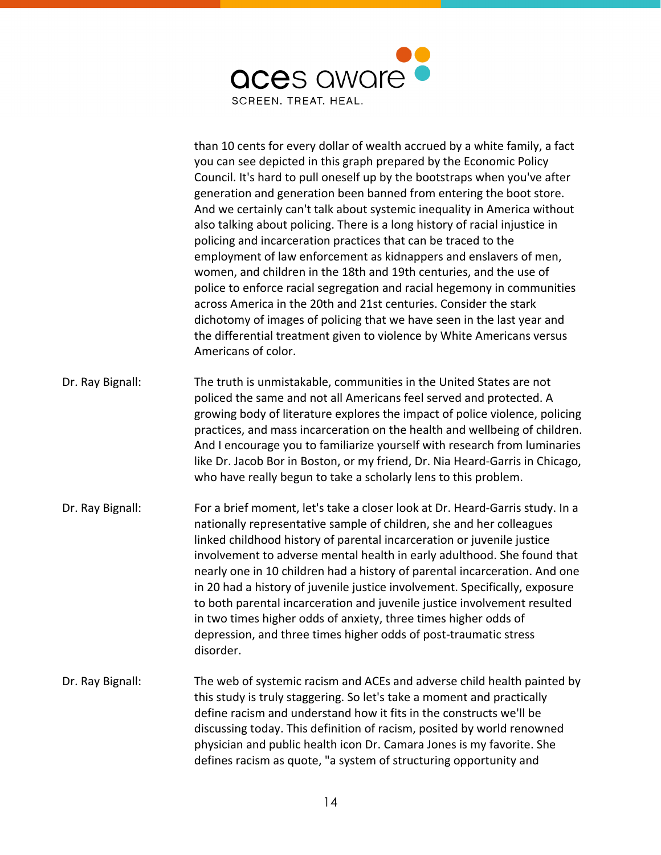

|                  | than 10 cents for every dollar of wealth accrued by a white family, a fact<br>you can see depicted in this graph prepared by the Economic Policy<br>Council. It's hard to pull oneself up by the bootstraps when you've after<br>generation and generation been banned from entering the boot store.<br>And we certainly can't talk about systemic inequality in America without<br>also talking about policing. There is a long history of racial injustice in<br>policing and incarceration practices that can be traced to the<br>employment of law enforcement as kidnappers and enslavers of men,<br>women, and children in the 18th and 19th centuries, and the use of<br>police to enforce racial segregation and racial hegemony in communities<br>across America in the 20th and 21st centuries. Consider the stark<br>dichotomy of images of policing that we have seen in the last year and<br>the differential treatment given to violence by White Americans versus<br>Americans of color. |
|------------------|---------------------------------------------------------------------------------------------------------------------------------------------------------------------------------------------------------------------------------------------------------------------------------------------------------------------------------------------------------------------------------------------------------------------------------------------------------------------------------------------------------------------------------------------------------------------------------------------------------------------------------------------------------------------------------------------------------------------------------------------------------------------------------------------------------------------------------------------------------------------------------------------------------------------------------------------------------------------------------------------------------|
| Dr. Ray Bignall: | The truth is unmistakable, communities in the United States are not<br>policed the same and not all Americans feel served and protected. A<br>growing body of literature explores the impact of police violence, policing<br>practices, and mass incarceration on the health and wellbeing of children.<br>And I encourage you to familiarize yourself with research from luminaries<br>like Dr. Jacob Bor in Boston, or my friend, Dr. Nia Heard-Garris in Chicago,<br>who have really begun to take a scholarly lens to this problem.                                                                                                                                                                                                                                                                                                                                                                                                                                                                 |
| Dr. Ray Bignall: | For a brief moment, let's take a closer look at Dr. Heard-Garris study. In a<br>nationally representative sample of children, she and her colleagues<br>linked childhood history of parental incarceration or juvenile justice<br>involvement to adverse mental health in early adulthood. She found that<br>nearly one in 10 children had a history of parental incarceration. And one<br>in 20 had a history of juvenile justice involvement. Specifically, exposure<br>to both parental incarceration and juvenile justice involvement resulted<br>in two times higher odds of anxiety, three times higher odds of<br>depression, and three times higher odds of post-traumatic stress<br>disorder.                                                                                                                                                                                                                                                                                                  |
| Dr. Ray Bignall: | The web of systemic racism and ACEs and adverse child health painted by<br>this study is truly staggering. So let's take a moment and practically<br>define racism and understand how it fits in the constructs we'll be<br>discussing today. This definition of racism, posited by world renowned<br>physician and public health icon Dr. Camara Jones is my favorite. She<br>defines racism as quote, "a system of structuring opportunity and                                                                                                                                                                                                                                                                                                                                                                                                                                                                                                                                                        |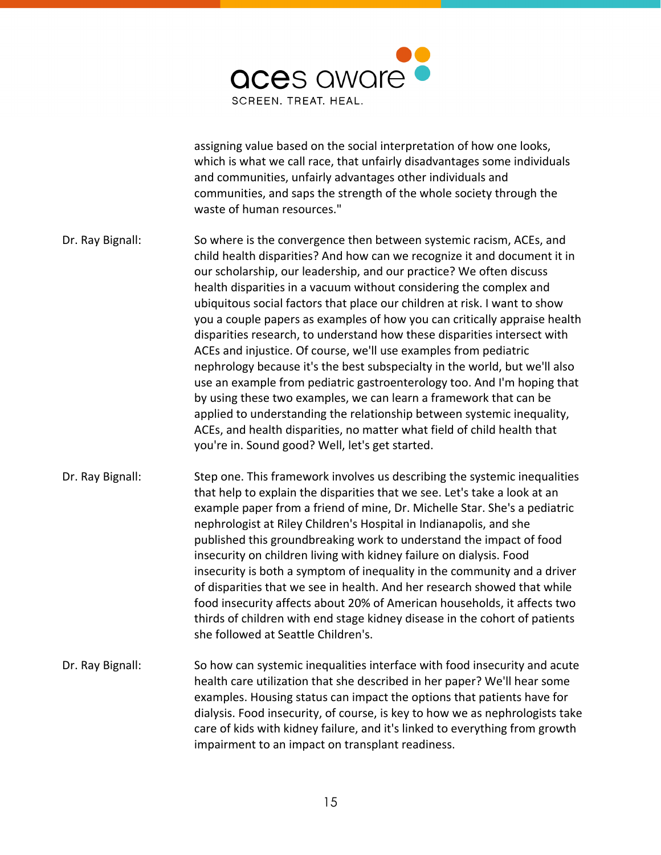

assigning value based on the social interpretation of how one looks, which is what we call race, that unfairly disadvantages some individuals and communities, unfairly advantages other individuals and communities, and saps the strength of the whole society through the waste of human resources."

- Dr. Ray Bignall: So where is the convergence then between systemic racism, ACEs, and child health disparities? And how can we recognize it and document it in our scholarship, our leadership, and our practice? We often discuss health disparities in a vacuum without considering the complex and ubiquitous social factors that place our children at risk. I want to show you a couple papers as examples of how you can critically appraise health disparities research, to understand how these disparities intersect with ACEs and injustice. Of course, we'll use examples from pediatric nephrology because it's the best subspecialty in the world, but we'll also use an example from pediatric gastroenterology too. And I'm hoping that by using these two examples, we can learn a framework that can be applied to understanding the relationship between systemic inequality, ACEs, and health disparities, no matter what field of child health that you're in. Sound good? Well, let's get started.
- Dr. Ray Bignall: Step one. This framework involves us describing the systemic inequalities that help to explain the disparities that we see. Let's take a look at an example paper from a friend of mine, Dr. Michelle Star. She's a pediatric nephrologist at Riley Children's Hospital in Indianapolis, and she published this groundbreaking work to understand the impact of food insecurity on children living with kidney failure on dialysis. Food insecurity is both a symptom of inequality in the community and a driver of disparities that we see in health. And her research showed that while food insecurity affects about 20% of American households, it affects two thirds of children with end stage kidney disease in the cohort of patients she followed at Seattle Children's.
- Dr. Ray Bignall: So how can systemic inequalities interface with food insecurity and acute health care utilization that she described in her paper? We'll hear some examples. Housing status can impact the options that patients have for dialysis. Food insecurity, of course, is key to how we as nephrologists take care of kids with kidney failure, and it's linked to everything from growth impairment to an impact on transplant readiness.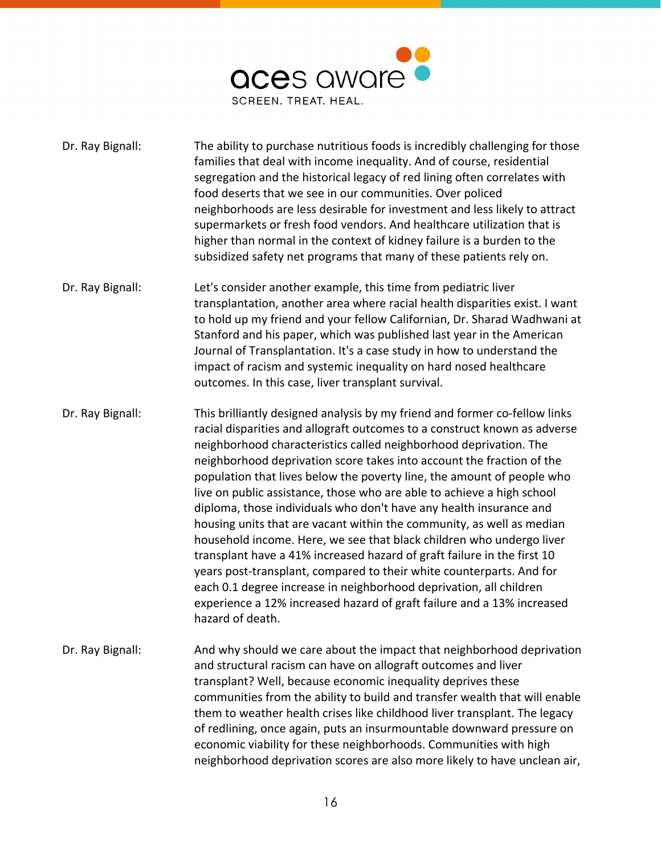

| Dr. Ray Bignall: | The ability to purchase nutritious foods is incredibly challenging for those<br>families that deal with income inequality. And of course, residential<br>segregation and the historical legacy of red lining often correlates with<br>food deserts that we see in our communities. Over policed<br>neighborhoods are less desirable for investment and less likely to attract<br>supermarkets or fresh food vendors. And healthcare utilization that is<br>higher than normal in the context of kidney failure is a burden to the<br>subsidized safety net programs that many of these patients rely on.                                                                                                                                                                                                                                                                                                                                                                                                |
|------------------|---------------------------------------------------------------------------------------------------------------------------------------------------------------------------------------------------------------------------------------------------------------------------------------------------------------------------------------------------------------------------------------------------------------------------------------------------------------------------------------------------------------------------------------------------------------------------------------------------------------------------------------------------------------------------------------------------------------------------------------------------------------------------------------------------------------------------------------------------------------------------------------------------------------------------------------------------------------------------------------------------------|
| Dr. Ray Bignall: | Let's consider another example, this time from pediatric liver<br>transplantation, another area where racial health disparities exist. I want<br>to hold up my friend and your fellow Californian, Dr. Sharad Wadhwani at<br>Stanford and his paper, which was published last year in the American<br>Journal of Transplantation. It's a case study in how to understand the<br>impact of racism and systemic inequality on hard nosed healthcare<br>outcomes. In this case, liver transplant survival.                                                                                                                                                                                                                                                                                                                                                                                                                                                                                                 |
| Dr. Ray Bignall: | This brilliantly designed analysis by my friend and former co-fellow links<br>racial disparities and allograft outcomes to a construct known as adverse<br>neighborhood characteristics called neighborhood deprivation. The<br>neighborhood deprivation score takes into account the fraction of the<br>population that lives below the poverty line, the amount of people who<br>live on public assistance, those who are able to achieve a high school<br>diploma, those individuals who don't have any health insurance and<br>housing units that are vacant within the community, as well as median<br>household income. Here, we see that black children who undergo liver<br>transplant have a 41% increased hazard of graft failure in the first 10<br>years post-transplant, compared to their white counterparts. And for<br>each 0.1 degree increase in neighborhood deprivation, all children<br>experience a 12% increased hazard of graft failure and a 13% increased<br>hazard of death. |
| Dr. Ray Bignall: | And why should we care about the impact that neighborhood deprivation<br>and structural racism can have on allograft outcomes and liver<br>transplant? Well, because economic inequality deprives these<br>communities from the ability to build and transfer wealth that will enable<br>them to weather health crises like childhood liver transplant. The legacy<br>of redlining, once again, puts an insurmountable downward pressure on<br>economic viability for these neighborhoods. Communities with high<br>neighborhood deprivation scores are also more likely to have unclean air,                                                                                                                                                                                                                                                                                                                                                                                                           |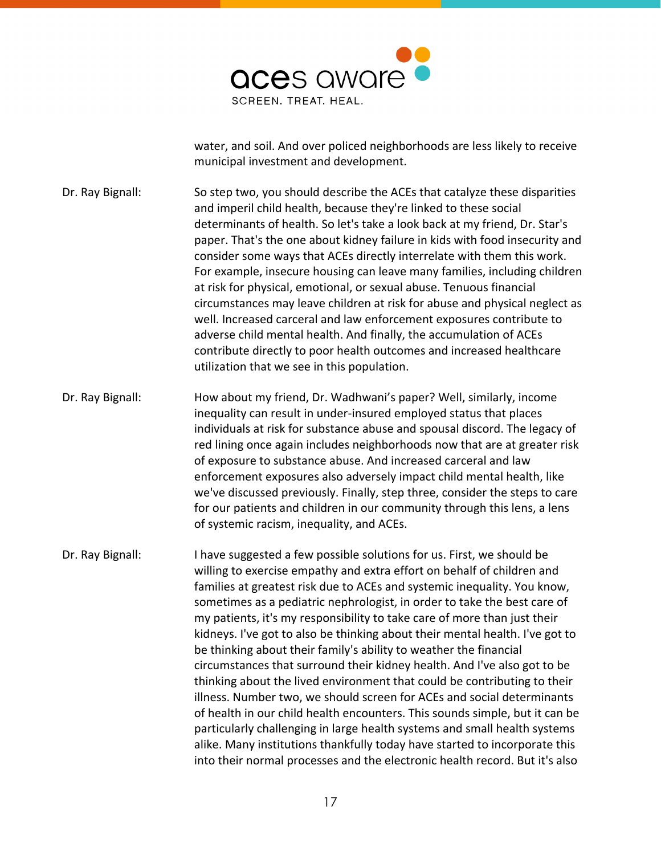

water, and soil. And over policed neighborhoods are less likely to receive municipal investment and development.

Dr. Ray Bignall: So step two, you should describe the ACEs that catalyze these disparities and imperil child health, because they're linked to these social determinants of health. So let's take a look back at my friend, Dr. Star's paper. That's the one about kidney failure in kids with food insecurity and consider some ways that ACEs directly interrelate with them this work. For example, insecure housing can leave many families, including children at risk for physical, emotional, or sexual abuse. Tenuous financial circumstances may leave children at risk for abuse and physical neglect as well. Increased carceral and law enforcement exposures contribute to adverse child mental health. And finally, the accumulation of ACEs contribute directly to poor health outcomes and increased healthcare utilization that we see in this population.

Dr. Ray Bignall: How about my friend, Dr. Wadhwani's paper? Well, similarly, income inequality can result in under-insured employed status that places individuals at risk for substance abuse and spousal discord. The legacy of red lining once again includes neighborhoods now that are at greater risk of exposure to substance abuse. And increased carceral and law enforcement exposures also adversely impact child mental health, like we've discussed previously. Finally, step three, consider the steps to care for our patients and children in our community through this lens, a lens of systemic racism, inequality, and ACEs.

Dr. Ray Bignall: I have suggested a few possible solutions for us. First, we should be willing to exercise empathy and extra effort on behalf of children and families at greatest risk due to ACEs and systemic inequality. You know, sometimes as a pediatric nephrologist, in order to take the best care of my patients, it's my responsibility to take care of more than just their kidneys. I've got to also be thinking about their mental health. I've got to be thinking about their family's ability to weather the financial circumstances that surround their kidney health. And I've also got to be thinking about the lived environment that could be contributing to their illness. Number two, we should screen for ACEs and social determinants of health in our child health encounters. This sounds simple, but it can be particularly challenging in large health systems and small health systems alike. Many institutions thankfully today have started to incorporate this into their normal processes and the electronic health record. But it's also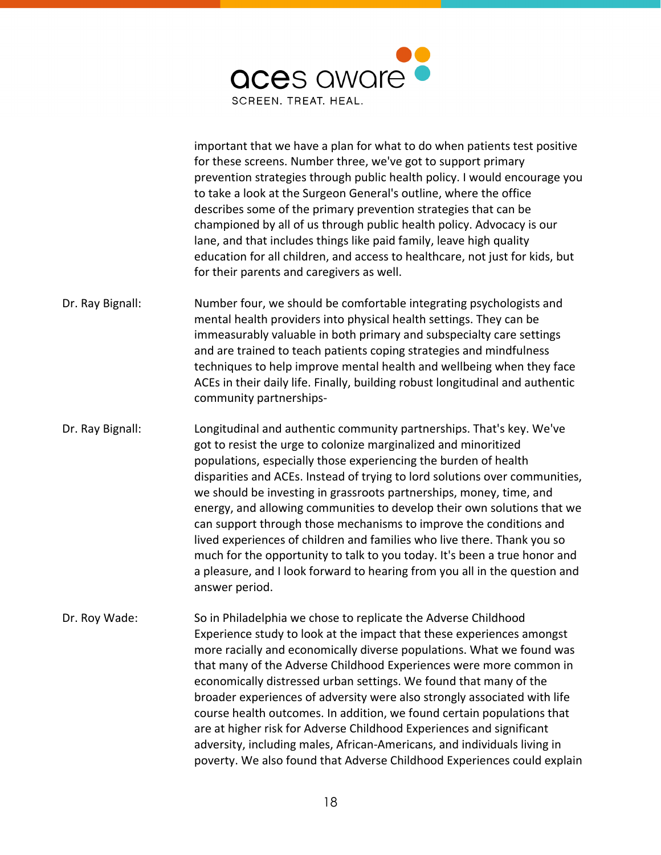

important that we have a plan for what to do when patients test positive for these screens. Number three, we've got to support primary prevention strategies through public health policy. I would encourage you to take a look at the Surgeon General's outline, where the office describes some of the primary prevention strategies that can be championed by all of us through public health policy. Advocacy is our lane, and that includes things like paid family, leave high quality education for all children, and access to healthcare, not just for kids, but for their parents and caregivers as well.

- Dr. Ray Bignall: Number four, we should be comfortable integrating psychologists and mental health providers into physical health settings. They can be immeasurably valuable in both primary and subspecialty care settings and are trained to teach patients coping strategies and mindfulness techniques to help improve mental health and wellbeing when they face ACEs in their daily life. Finally, building robust longitudinal and authentic community partnerships-
- Dr. Ray Bignall: Longitudinal and authentic community partnerships. That's key. We've got to resist the urge to colonize marginalized and minoritized populations, especially those experiencing the burden of health disparities and ACEs. Instead of trying to lord solutions over communities, we should be investing in grassroots partnerships, money, time, and energy, and allowing communities to develop their own solutions that we can support through those mechanisms to improve the conditions and lived experiences of children and families who live there. Thank you so much for the opportunity to talk to you today. It's been a true honor and a pleasure, and I look forward to hearing from you all in the question and answer period.
- Dr. Roy Wade: So in Philadelphia we chose to replicate the Adverse Childhood Experience study to look at the impact that these experiences amongst more racially and economically diverse populations. What we found was that many of the Adverse Childhood Experiences were more common in economically distressed urban settings. We found that many of the broader experiences of adversity were also strongly associated with life course health outcomes. In addition, we found certain populations that are at higher risk for Adverse Childhood Experiences and significant adversity, including males, African-Americans, and individuals living in poverty. We also found that Adverse Childhood Experiences could explain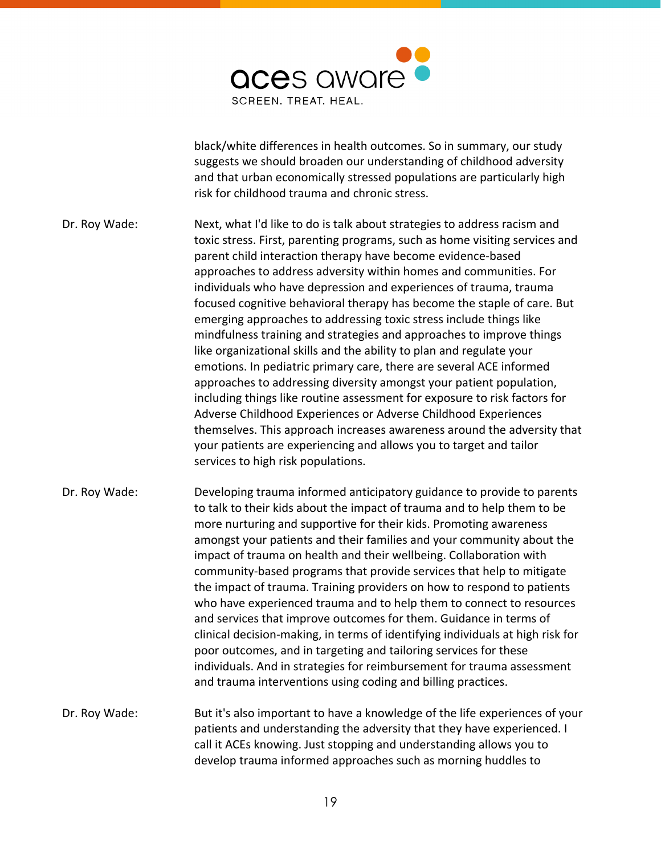

black/white differences in health outcomes. So in summary, our study suggests we should broaden our understanding of childhood adversity and that urban economically stressed populations are particularly high risk for childhood trauma and chronic stress.

Dr. Roy Wade: Next, what I'd like to do is talk about strategies to address racism and toxic stress. First, parenting programs, such as home visiting services and parent child interaction therapy have become evidence-based approaches to address adversity within homes and communities. For individuals who have depression and experiences of trauma, trauma focused cognitive behavioral therapy has become the staple of care. But emerging approaches to addressing toxic stress include things like mindfulness training and strategies and approaches to improve things like organizational skills and the ability to plan and regulate your emotions. In pediatric primary care, there are several ACE informed approaches to addressing diversity amongst your patient population, including things like routine assessment for exposure to risk factors for Adverse Childhood Experiences or Adverse Childhood Experiences themselves. This approach increases awareness around the adversity that your patients are experiencing and allows you to target and tailor services to high risk populations.

Dr. Roy Wade: Developing trauma informed anticipatory guidance to provide to parents to talk to their kids about the impact of trauma and to help them to be more nurturing and supportive for their kids. Promoting awareness amongst your patients and their families and your community about the impact of trauma on health and their wellbeing. Collaboration with community-based programs that provide services that help to mitigate the impact of trauma. Training providers on how to respond to patients who have experienced trauma and to help them to connect to resources and services that improve outcomes for them. Guidance in terms of clinical decision-making, in terms of identifying individuals at high risk for poor outcomes, and in targeting and tailoring services for these individuals. And in strategies for reimbursement for trauma assessment and trauma interventions using coding and billing practices.

Dr. Roy Wade: But it's also important to have a knowledge of the life experiences of your patients and understanding the adversity that they have experienced. I call it ACEs knowing. Just stopping and understanding allows you to develop trauma informed approaches such as morning huddles to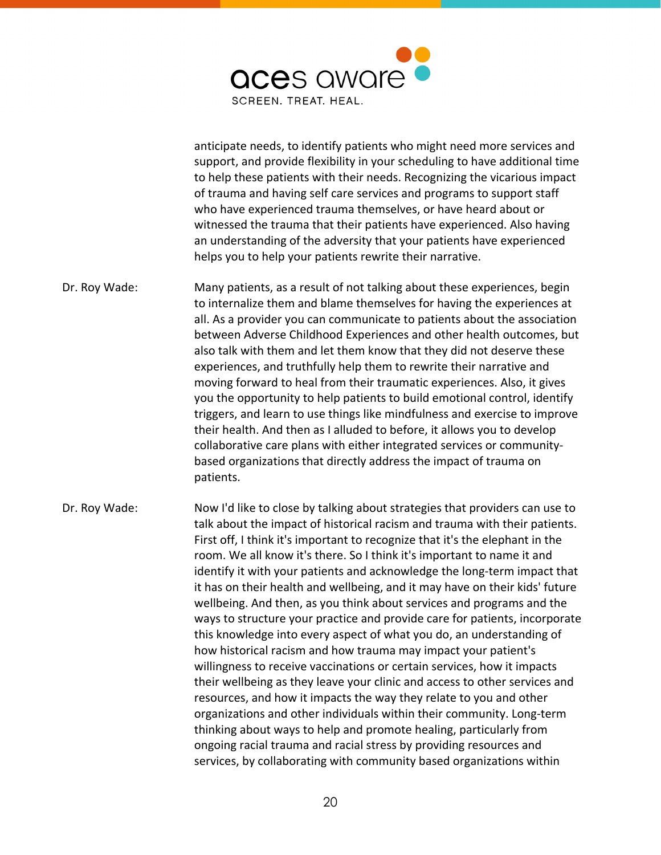

anticipate needs, to identify patients who might need more services and support, and provide flexibility in your scheduling to have additional time to help these patients with their needs. Recognizing the vicarious impact of trauma and having self care services and programs to support staff who have experienced trauma themselves, or have heard about or witnessed the trauma that their patients have experienced. Also having an understanding of the adversity that your patients have experienced helps you to help your patients rewrite their narrative.

Dr. Roy Wade: Many patients, as a result of not talking about these experiences, begin to internalize them and blame themselves for having the experiences at all. As a provider you can communicate to patients about the association between Adverse Childhood Experiences and other health outcomes, but also talk with them and let them know that they did not deserve these experiences, and truthfully help them to rewrite their narrative and moving forward to heal from their traumatic experiences. Also, it gives you the opportunity to help patients to build emotional control, identify triggers, and learn to use things like mindfulness and exercise to improve their health. And then as I alluded to before, it allows you to develop collaborative care plans with either integrated services or communitybased organizations that directly address the impact of trauma on patients.

Dr. Roy Wade: Now I'd like to close by talking about strategies that providers can use to talk about the impact of historical racism and trauma with their patients. First off, I think it's important to recognize that it's the elephant in the room. We all know it's there. So I think it's important to name it and identify it with your patients and acknowledge the long-term impact that it has on their health and wellbeing, and it may have on their kids' future wellbeing. And then, as you think about services and programs and the ways to structure your practice and provide care for patients, incorporate this knowledge into every aspect of what you do, an understanding of how historical racism and how trauma may impact your patient's willingness to receive vaccinations or certain services, how it impacts their wellbeing as they leave your clinic and access to other services and resources, and how it impacts the way they relate to you and other organizations and other individuals within their community. Long-term thinking about ways to help and promote healing, particularly from ongoing racial trauma and racial stress by providing resources and services, by collaborating with community based organizations within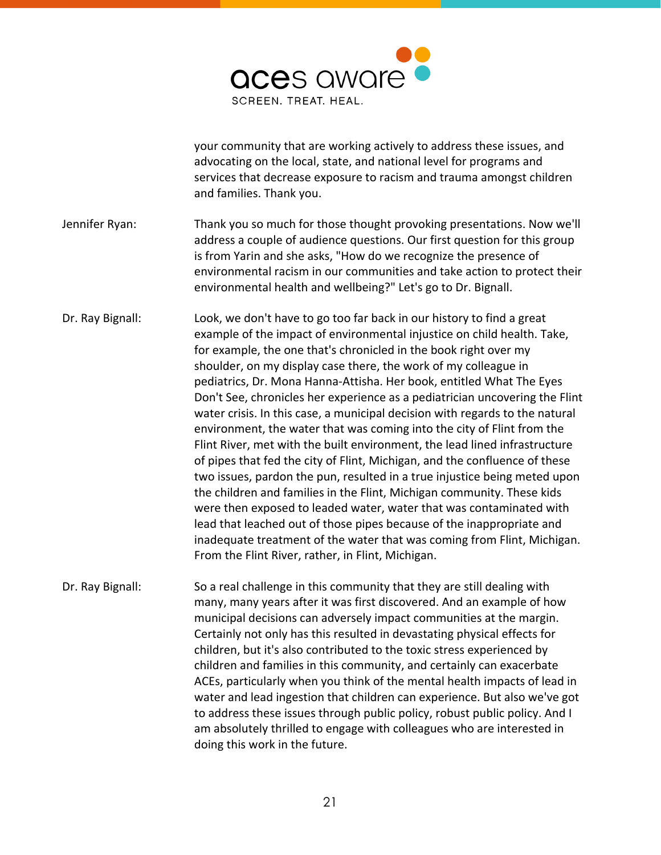

your community that are working actively to address these issues, and advocating on the local, state, and national level for programs and services that decrease exposure to racism and trauma amongst children and families. Thank you.

- Jennifer Ryan: Thank you so much for those thought provoking presentations. Now we'll address a couple of audience questions. Our first question for this group is from Yarin and she asks, "How do we recognize the presence of environmental racism in our communities and take action to protect their environmental health and wellbeing?" Let's go to Dr. Bignall.
- Dr. Ray Bignall: Look, we don't have to go too far back in our history to find a great example of the impact of environmental injustice on child health. Take, for example, the one that's chronicled in the book right over my shoulder, on my display case there, the work of my colleague in pediatrics, Dr. Mona Hanna-Attisha. Her book, entitled What The Eyes Don't See, chronicles her experience as a pediatrician uncovering the Flint water crisis. In this case, a municipal decision with regards to the natural environment, the water that was coming into the city of Flint from the Flint River, met with the built environment, the lead lined infrastructure of pipes that fed the city of Flint, Michigan, and the confluence of these two issues, pardon the pun, resulted in a true injustice being meted upon the children and families in the Flint, Michigan community. These kids were then exposed to leaded water, water that was contaminated with lead that leached out of those pipes because of the inappropriate and inadequate treatment of the water that was coming from Flint, Michigan. From the Flint River, rather, in Flint, Michigan.
- Dr. Ray Bignall: So a real challenge in this community that they are still dealing with many, many years after it was first discovered. And an example of how municipal decisions can adversely impact communities at the margin. Certainly not only has this resulted in devastating physical effects for children, but it's also contributed to the toxic stress experienced by children and families in this community, and certainly can exacerbate ACEs, particularly when you think of the mental health impacts of lead in water and lead ingestion that children can experience. But also we've got to address these issues through public policy, robust public policy. And I am absolutely thrilled to engage with colleagues who are interested in doing this work in the future.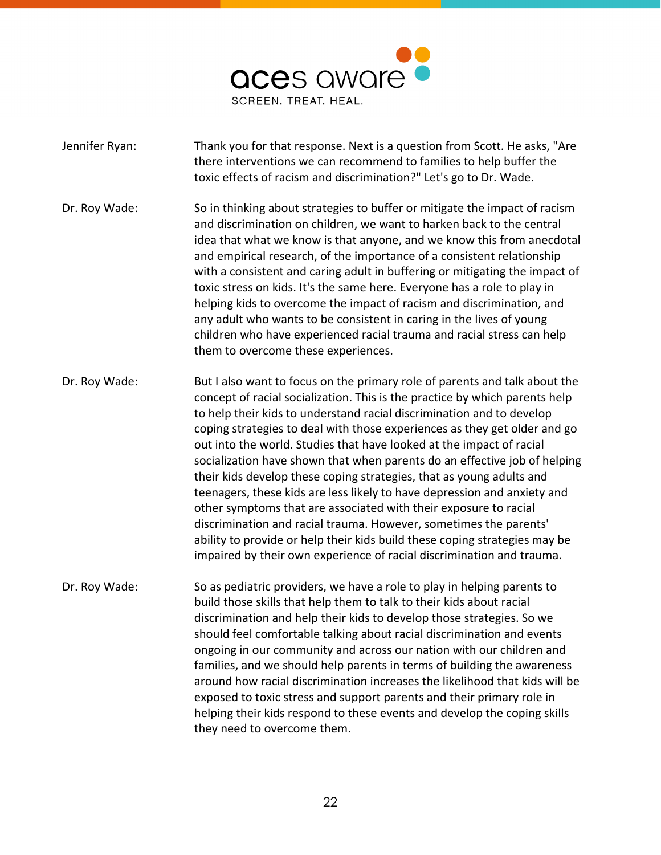

- Jennifer Ryan: Thank you for that response. Next is a question from Scott. He asks, "Are there interventions we can recommend to families to help buffer the toxic effects of racism and discrimination?" Let's go to Dr. Wade. Dr. Roy Wade: So in thinking about strategies to buffer or mitigate the impact of racism and discrimination on children, we want to harken back to the central idea that what we know is that anyone, and we know this from anecdotal and empirical research, of the importance of a consistent relationship with a consistent and caring adult in buffering or mitigating the impact of toxic stress on kids. It's the same here. Everyone has a role to play in helping kids to overcome the impact of racism and discrimination, and any adult who wants to be consistent in caring in the lives of young children who have experienced racial trauma and racial stress can help them to overcome these experiences. Dr. Roy Wade: But I also want to focus on the primary role of parents and talk about the concept of racial socialization. This is the practice by which parents help to help their kids to understand racial discrimination and to develop coping strategies to deal with those experiences as they get older and go out into the world. Studies that have looked at the impact of racial socialization have shown that when parents do an effective job of helping their kids develop these coping strategies, that as young adults and teenagers, these kids are less likely to have depression and anxiety and other symptoms that are associated with their exposure to racial discrimination and racial trauma. However, sometimes the parents' ability to provide or help their kids build these coping strategies may be impaired by their own experience of racial discrimination and trauma. Dr. Roy Wade: So as pediatric providers, we have a role to play in helping parents to build those skills that help them to talk to their kids about racial discrimination and help their kids to develop those strategies. So we should feel comfortable talking about racial discrimination and events ongoing in our community and across our nation with our children and families, and we should help parents in terms of building the awareness around how racial discrimination increases the likelihood that kids will be
	- exposed to toxic stress and support parents and their primary role in helping their kids respond to these events and develop the coping skills they need to overcome them.